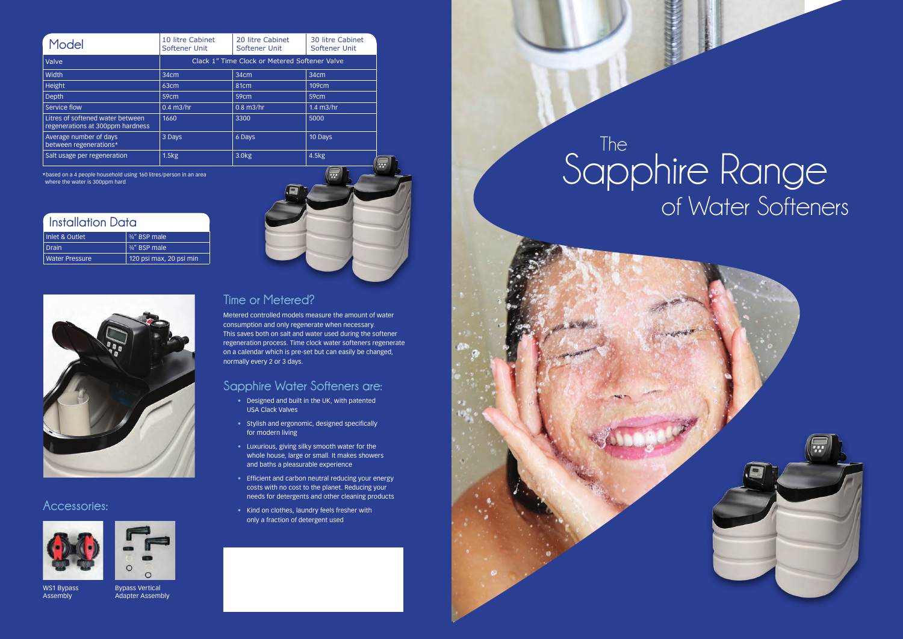## of Water Softeners Sapphire Range



The

**Time or Metered?**

Metered controlled models measure the amount of water consumption and only regenerate when necessary. This saves both on salt and water used during the softener regeneration process. Time clock water softeners regenerate on a calendar which is pre-set but can easily be changed, normally every 2 or 3 days.

### **Sapphire Water Softeners are:**

- Designed and built in the UK, with patented USA Clack Valves
- Stylish and ergonomic, designed specifically for modern living
- Luxurious, giving silky smooth water for the whole house, large or small. It makes showers and baths a pleasurable experience
- Efficient and carbon neutral reducing your energy costs with no cost to the planet. Reducing your needs for detergents and other cleaning products
- Kind on clothes, laundry feels fresher with only a fraction of detergent used

\*based on a 4 people household using 160 litres/person in an area where the water is 300ppm hard

| Model                                                                | 10 litre Cabinet<br>Softener Unit             | 20 litre Cabinet<br>Softener Unit | 30 litre Cabinet<br>Softener Unit |
|----------------------------------------------------------------------|-----------------------------------------------|-----------------------------------|-----------------------------------|
| Valve                                                                | Clack 1" Time Clock or Metered Softener Valve |                                   |                                   |
| Width                                                                | 34cm                                          | 34 <sub>cm</sub>                  | 34 <sub>cm</sub>                  |
| Height                                                               | 63cm                                          | 81 <sub>cm</sub>                  | 109 <sub>cm</sub>                 |
| Depth                                                                | 59cm                                          | 59 <sub>cm</sub>                  | 59cm                              |
| Service flow                                                         | $0.4$ m $3$ /hr                               | $0.8$ m $3$ /hr                   | $1.4$ m $3$ /hr                   |
| Litres of softened water between<br>regenerations at 300ppm hardness | 1660                                          | 3300                              | 5000                              |
| Average number of days<br>between regenerations*                     | 3 Days                                        | 6 Days                            | 10 Days                           |
| Salt usage per regeneration                                          | 1.5kg                                         | 3.0 <sub>k</sub> g                | 4.5kg                             |

#### **Accessories:**





WS1 Bypass Assembly

Bypass Vertical Adapter Assembly



| Installation Data |                         |  |
|-------------------|-------------------------|--|
| Inlet & Outlet    | 3/4" BSP male           |  |
| <b>Drain</b>      | 3/4" BSP male           |  |
| Water Pressure    | 120 psi max, 20 psi min |  |